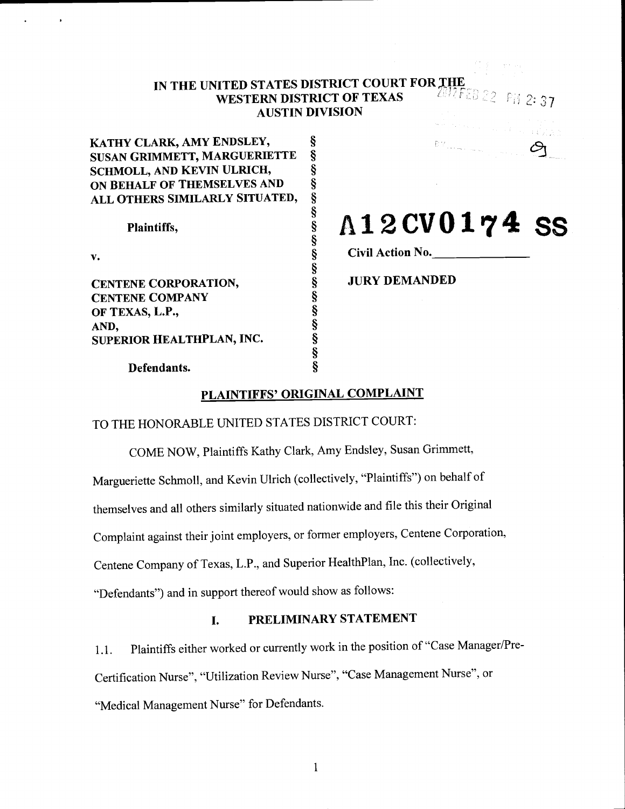# IN THE UNITED STATES DISTRICT COURT FOR THE WESTED MISTRICT OF TEXAS WESTERN DISTRICT OF TEXAS AUSTIN DIVISION

§

KATHY CLARK, AMY ENDSLEY, SUSAN GRIMMETT, MARGUERIETTE §<br>SCHMOLL, AND KEVIN ULRICH, § SCHMOLL, AND KEVIN ULRICH, ALL OTHERS SIMILARLY SITUATED,

Plaintiffs,

V.

ON BEHALF OF THEMSELVES AND CENTENE CORPORATION, CENTENE COMPANY OF TEXAS, L.P., AND, SUPERIOR HEALTHPLAN, INC.

# Al2CV0174 ss

 $FH$  2:37

Civil Action No.

JURY DEMANDED

Defendants.

# PLAINTIFFS' ORIGINAL COMPLAINT

Ş

TO THE HONORABLE UNITED STATES DISTRICT COURT:

COME NOW, Plaintiffs Kathy Clark, Amy Endsley, Susan Grimmett,

Margueriette Schmoll, and Kevin Ulrich (collectively, "Plaintiffs") on behalf of

themselves and all others similarly situated nationwide and file this their Original

Complaint against their joint employers, or former employers, Centene Corporation,

Centene Company of Texas, L.P., arid Superior HealthPlan, Inc. (collectively,

"Defendants") and in support thereof would show as follows:

# I. PRELIMINARY STATEMENT

1.1. Plaintiffs either worked or currently work in the position of "Case Manager/Pre-Certification Nurse", "Utilization Review Nurse", "Case Management Nurse", or

"Medical Management Nurse" for Defendants.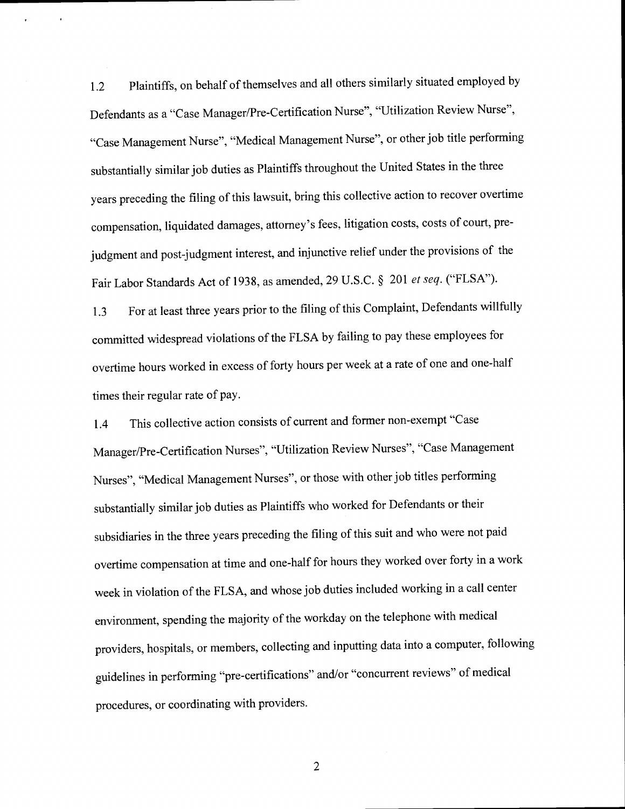1.2 Plaintiffs, on behalf of themselves and all others similarly situated employed by Defendants as a "Case Manager/Pre-Certification Nurse", "Utilization Review Nurse", "Case Management Nurse", "Medical Management Nurse", or other job title performing substantially similar job duties as Plaintiffs throughout the United States in the three years preceding the filing of this lawsuit, bring this collective action to recover overtime compensation, liquidated damages, attorney's fees, litigation costs, costs of court, prejudgment and post-judgment interest, and injunctive relief under the provisions of the Fair Labor Standards Act of 1938, as amended, 29 U.S.C. § 201 et seq. ("FLSA").

1.3 For at least three years prior to the filing of this Complaint, Defendants willfully committed widespread violations of the FLSA by failing to pay these employees for overtime hours worked in excess of forty hours per week at a rate of one and one-half times their regular rate of pay.

1.4 This collective action consists of current and former non-exempt "Case Manager/Pre-Certification Nurses", "Utilization Review Nurses", "Case Management Nurses", "Medical Management Nurses", or those with other job titles performing substantially similar job duties as Plaintiffs who worked for Defendants or their subsidiaries in the three years preceding the filing of this suit and who were not paid overtime compensation at time and one-half for hours they worked over forty in a work week in violation of the FLSA, and whose job duties included working in a call center environment, spending the majority of the workday on the telephone with medical providers, hospitals, or members, collecting and inputting data into a computer, following guidelines in performing "pre-certifications" and/or "concurrent reviews" of medical procedures, or coordinating with providers.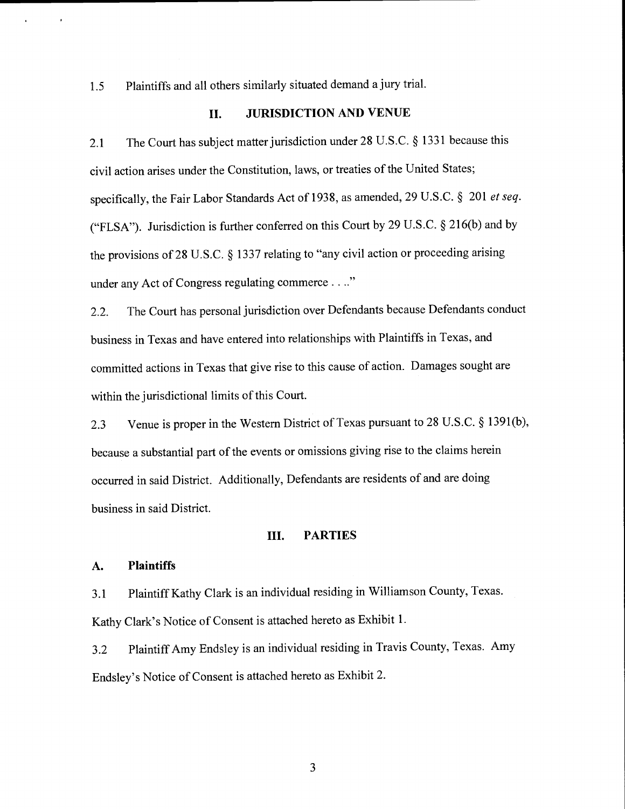1.5 Plaintiffs and all others similarly situated demand a jury trial.

## II. JURISDICTION AND VENUE

2.1 The Court has subject matter jurisdiction under 28 U.S.C. § 1331 because this civil action arises under the Constitution, laws, or treaties of the United States; specifically, the Fair Labor Standards Act of 1938, as amended, 29 U.S.C. § 201 et seq. ("FLSA"). Jurisdiction is further conferred on this Court by 29 U.S.C. § 2 16(b) and by the provisions of 28 U.S.C. § 1337 relating to "any civil action or proceeding arising under any Act of Congress regulating commerce...."

2.2. The Court has personal jurisdiction over Defendants because Defendants conduct business in Texas and have entered into relationships with Plaintiffs in Texas, and committed actions in Texas that give rise to this cause of action. Damages sought are within the jurisdictional limits of this Court.

2.3 Venue is proper in the Western District of Texas pursuant to 28 U.S.C. § 1391(b), because a substantial part of the events or omissions giving rise to the claims herein occurred in said District. Additionally, Defendants are residents of and are doing business in said District.

## III. PARTIES

## A. Plaintiffs

3.1 Plaintiff Kathy Clark is an individual residing in Williamson County, Texas. Kathy Clark's Notice of Consent is attached hereto as Exhibit 1.

3.2 Plaintiff Amy Endsley is an individual residing in Travis County, Texas. Amy Endsley's Notice of Consent is attached hereto as Exhibit 2.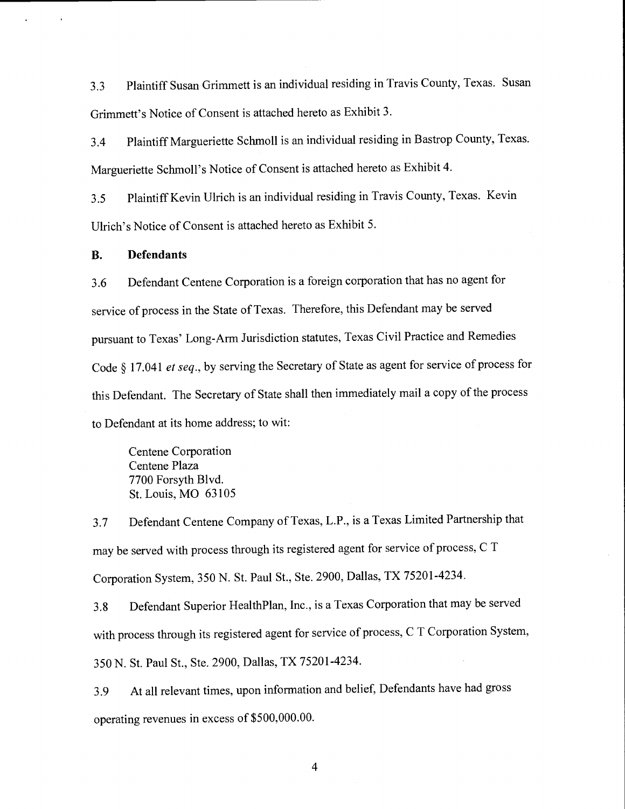3.3 Plaintiff Susan Grimmett is an individual residing in Travis County, Texas. Susan Grimmett's Notice of Consent is attached hereto as Exhibit 3.

3.4 Plaintiff Margueriette Schmoll is an individual residing in Bastrop County, Texas. Margueriette Schmoll's Notice of Consent is attached hereto as Exhibit 4.

3.5 Plaintiff Kevin Ulrich is an individual residing in Travis County, Texas. Kevin Ulrich's Notice of Consent is attached hereto as Exhibit 5.

## B. Defendants

3.6 Defendant Centene Corporation is a foreign corporation that has no agent for service of process in the State of Texas. Therefore, this Defendant may be served pursuant to Texas' Long-Arm Jurisdiction statutes, Texas Civil Practice and Remedies Code § 17.041 et seq., by serving the Secretary of State as agent for service of process for this Defendant. The Secretary of State shall then immediately mail a copy of the process to Defendant at its home address; to wit:

Centene Corporation Centene Plaza 7700 Forsyth Blvd. St. Louis, MO 63105

3.7 Defendant Centene Company of Texas, L.P., is a Texas Limited Partnership that may be served with process through its registered agent for service of process, C <sup>T</sup> Corporation System, 350 N. St. Paul St., Ste. 2900, Dallas, TX 7520 1-4234.

3.8 Defendant Superior HealthPlan, Inc., is a Texas Corporation that may be served with process through its registered agent for service of process, C T Corporation System, 350 N. St. Paul St., Ste. 2900, Dallas, TX 75201-4234.

3.9 At all relevant times, upon information and belief, Defendants have had gross operating revenues in excess of \$500,000.00.

 $\overline{4}$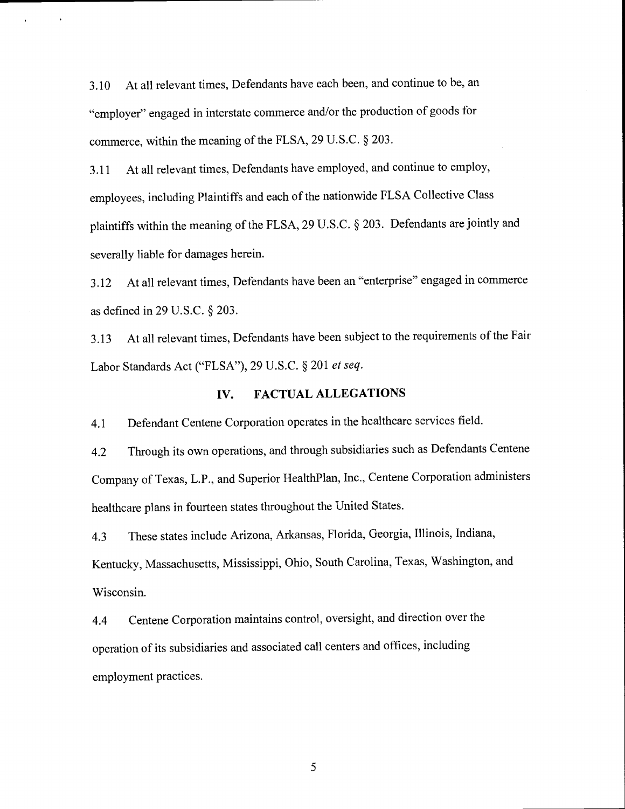3.10 At all relevant times, Defendants have each been, and continue to be, an "employer" engaged in interstate commerce and/or the production of goods for commerce, within the meaning of the FLSA, 29 U.S.C. § 203.

3.11 At all relevant times, Defendants have employed, and continue to employ, employees, including Plaintiffs and each of the nationwide FLSA Collective Class plaintiffs within the meaning of the FLSA, 29 U.S.C. § 203. Defendants are jointly and severally liable for damages herein.

3.12 At all relevant times, Defendants have been an "enterprise" engaged in commerce as defined in 29 U.S.C. § 203.

3.13 At all relevant times, Defendants have been subject to the requirements of the Fair Labor Standards Act ("FLSA"), 29 U.S.C. § 201 et seq.

# IV. FACTUAL ALLEGATIONS

4.1 Defendant Centene Corporation operates in the healthcare services field.

4.2 Through its own operations, and through subsidiaries such as Defendants Centene Company of Texas, L.P., and Superior HealthPlan, Inc., Centene Corporation administers healthcare plans in fourteen states throughout the United States.

4.3 These states include Arizona, Arkansas, Florida, Georgia, Illinois, Indiana, Kentucky, Massachusetts, Mississippi, Ohio, South Carolina, Texas, Washington, and Wisconsin.

4.4 Centene Corporation maintains control, oversight, and direction over the operation of its subsidiaries and associated call centers and offices, including employment practices.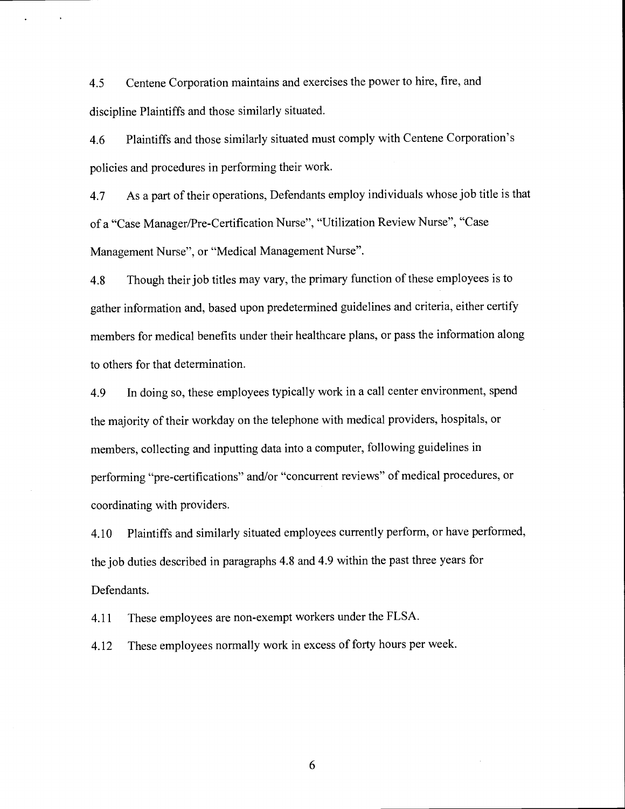4.5 Centene Corporation maintains and exercises the power to hire, fire, and discipline Plaintiffs and those similarly situated.

4.6 Plaintiffs and those similarly situated must comply with Centene Corporation's policies and procedures in performing their work.

4.7 As a part of their operations, Defendants employ individuals whose job title is that of a "Case Manager/Pre-Certification Nurse", "Utilization Review Nurse", "Case Management Nurse", or "Medical Management Nurse".

4.8 Though their job titles may vary, the primary function of these employees is to gather information and, based upon predetermined guidelines and criteria, either certify members for medical benefits under their healthcare plans, or pass the information along to others for that determination.

4.9 In doing so, these employees typically work in a call center environment, spend the majority of their workday on the telephone with medical providers, hospitals, or members, collecting and inputting data into a computer, following guidelines in performing "pre-certifications" and/or "concurrent reviews" of medical procedures, or coordinating with providers.

4.10 Plaintiffs and similarly situated employees currently perform, or have performed, the job duties described in paragraphs 4.8 and 4.9 within the past three years for Defendants.

4.11 These employees are non-exempt workers under the FLSA.

4.12 These employees normally work in excess of forty hours per week.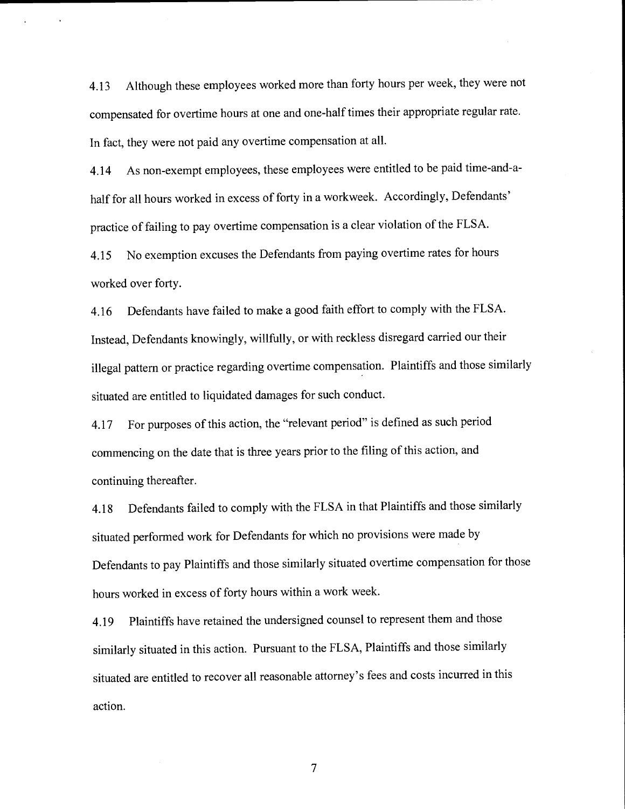4.13 Although these employees worked more than forty hours per week, they were not compensated for overtime hours at one and one-half times their appropriate regular rate. In fact, they were not paid any overtime compensation at all.

4.14 As non-exempt employees, these employees were entitled to be paid time-and-ahalf for all hours worked in excess of forty in a workweek. Accordingly, Defendants' practice of failing to pay overtime compensation is a clear violation of the FLSA.

4.15 No exemption excuses the Defendants from paying overtime rates for hours worked over forty.

4.16 Defendants have failed to make a good faith effort to comply with the FLSA. Instead, Defendants knowingly, willfully, or with reckless disregard carried our their illegal pattern or practice regarding overtime compensation. Plaintiffs and those similarly situated are entitled to liquidated damages for such conduct.

4.17 For purposes of this action, the "relevant period" is defined as such period commencing on the date that is three years prior to the filing of this action, and continuing thereafter.

4.18 Defendants failed to comply with the FLSA in that Plaintiffs and those similarly situated performed work for Defendants for which no provisions were made by Defendants to pay Plaintiffs and those similarly situated overtime compensation for those hours worked in excess of forty hours within a work week.

4.19 Plaintiffs have retained the undersigned counsel to represent them and those similarly situated in this action. Pursuant to the FLSA, Plaintiffs and those similarly situated are entitled to recover all reasonable attorney's fees and costs incurred in this action.

 $\overline{7}$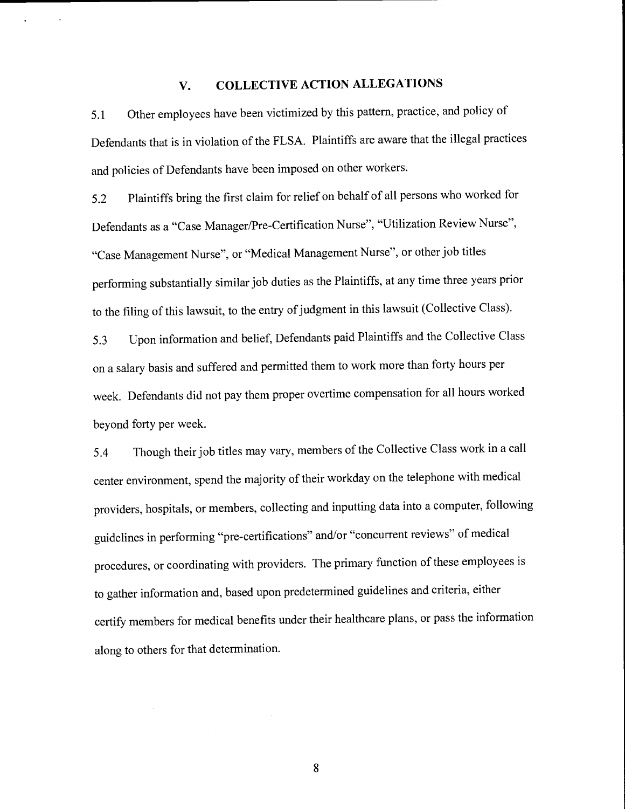# V. COLLECTIVE ACTION ALLEGATIONS

5.1 Other employees have been victimized by this pattern, practice, and policy of Defendants that is in violation of the FLSA. Plaintiffs are aware that the illegal practices and policies of Defendants have been imposed on other workers.

5.2 Plaintiffs bring the first claim for relief on behalf of all persons who worked for Defendants as a "Case Manager/Pre-Certification Nurse", "Utilization Review Nurse", "Case Management Nurse", or "Medical Management Nurse", or other job titles performing substantially similar job duties as the Plaintiffs, at any time three years prior to the filing of this lawsuit, to the entry of judgment in this lawsuit (Collective Class).

5.3 Upon information and belief, Defendants paid Plaintiffs and the Collective Class on a salary basis and suffered and permitted them to work more than forty hours per week. Defendants did not pay them proper overtime compensation for all hours worked beyond forty per week.

5.4 Though their job titles may vary, members of the Collective Class work in a call center environment, spend the majority of their workday on the telephone with medical providers, hospitals, or members, collecting and inputting data into a computer, following guidelines in performing "pre-certifications" and/or "concurrent reviews" of medical procedures, or coordinating with providers. The primary function of these employees is to gather information and, based upon predetermined guidelines and criteria, either certify members for medical benefits under their healthcare plans, or pass the information along to others for that determination.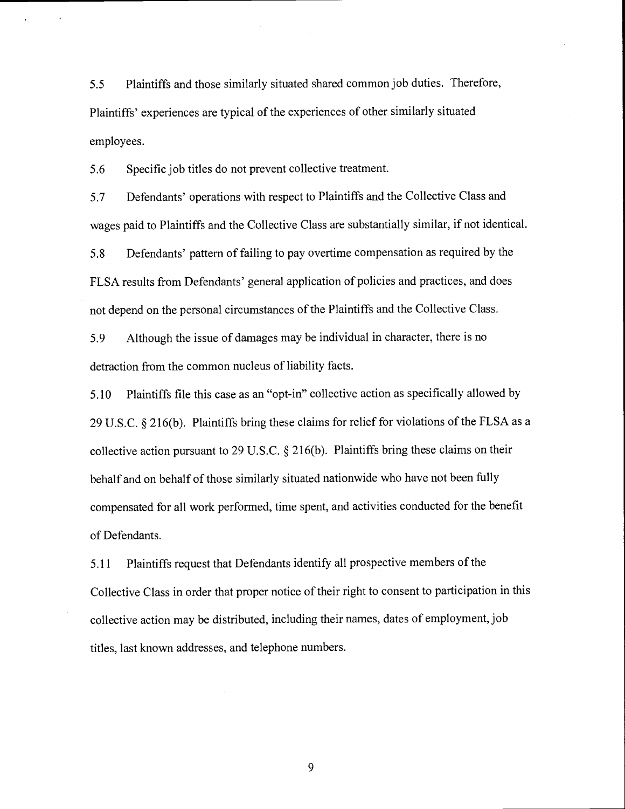5.5 Plaintiffs and those similarly situated shared common job duties. Therefore, Plaintiffs' experiences are typical of the experiences of other similarly situated employees.

5.6 Specific job titles do not prevent collective treatment.

5.7 Defendants' operations with respect to Plaintiffs and the Collective Class and wages paid to Plaintiffs and the Collective Class are substantially similar, if not identical. 5.8 Defendants' pattern of failing to pay overtime compensation as required by the FLSA results from Defendants' general application of policies and practices, and does not depend on the personal circumstances of the Plaintiffs and the Collective Class.

5.9 Although the issue of damages may be individual in character, there is no detraction from the common nucleus of liability facts.

5.10 Plaintiffs file this case as an "opt-in" collective action as specifically allowed by 29 U.S.C. § 2 16(b). Plaintiffs bring these claims for relief for violations of the FLSA as <sup>a</sup> collective action pursuant to 29 U.S.C. § 2 16(b). Plaintiffs bring these claims on their behalf and on behalf of those similarly situated nationwide who have not been fully compensated for all work performed, time spent, and activities conducted for the benefit of Defendants.

5.11 Plaintiffs request that Defendants identify all prospective members of the Collective Class in order that proper notice of their right to consent to participation in this collective action may be distributed, including their names, dates of employment, job titles, last known addresses, and telephone numbers.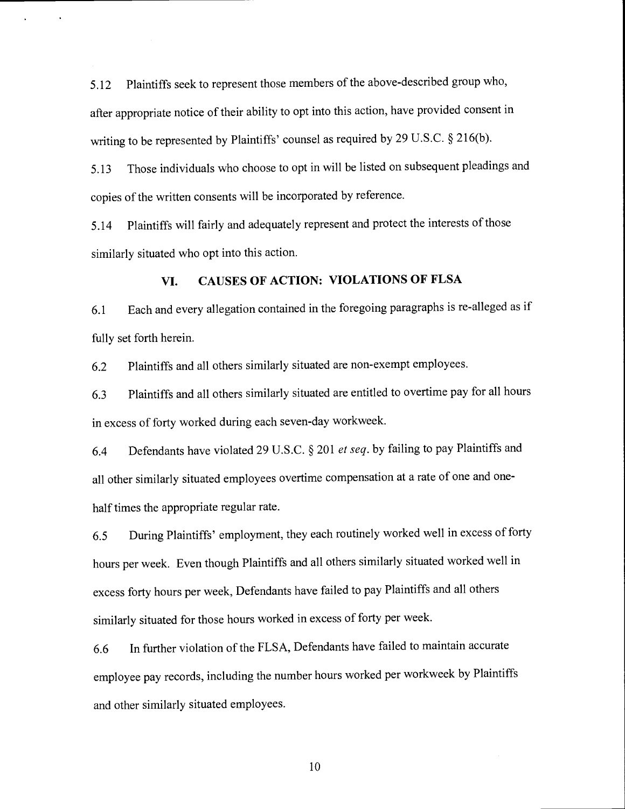5.12 Plaintiffs seek to represent those members of the above-described group who, after appropriate notice of their ability to opt into this action, have provided consent in writing to be represented by Plaintiffs' counsel as required by 29 U.S.C. § 216(b).

5.13 Those individuals who choose to opt in will be listed on subsequent pleadings and copies of the written consents will be incorporated by reference.

5.14 Plaintiffs will fairly and adequately represent and protect the interests of those similarly situated who opt into this action.

## VI. CAUSES OF ACTION: VIOLATIONS OF FLSA

6.1 Each and every allegation contained in the foregoing paragraphs is re-alleged as if fully set forth herein.

6.2 Plaintiffs and all others similarly situated are non-exempt employees.

6.3 Plaintiffs and all others similarly situated are entitled to overtime pay for all hours in excess of forty worked during each seven-day workweek.

6.4 Defendants have violated 29 U.S.C. § 201 et seq. by failing to pay Plaintiffs and all other similarly situated employees overtime compensation at a rate of one and onehalf times the appropriate regular rate.

6.5 During Plaintiffs' employment, they each routinely worked well in excess of forty hours per week. Even though Plaintiffs and all others similarly situated worked well in excess forty hours per week, Defendants have failed to pay Plaintiffs and all others similarly situated for those hours worked in excess of forty per week.

6.6 In further violation of the FLSA, Defendants have failed to maintain accurate employee pay records, including the number hours worked per workweek by Plaintiffs and other similarly situated employees.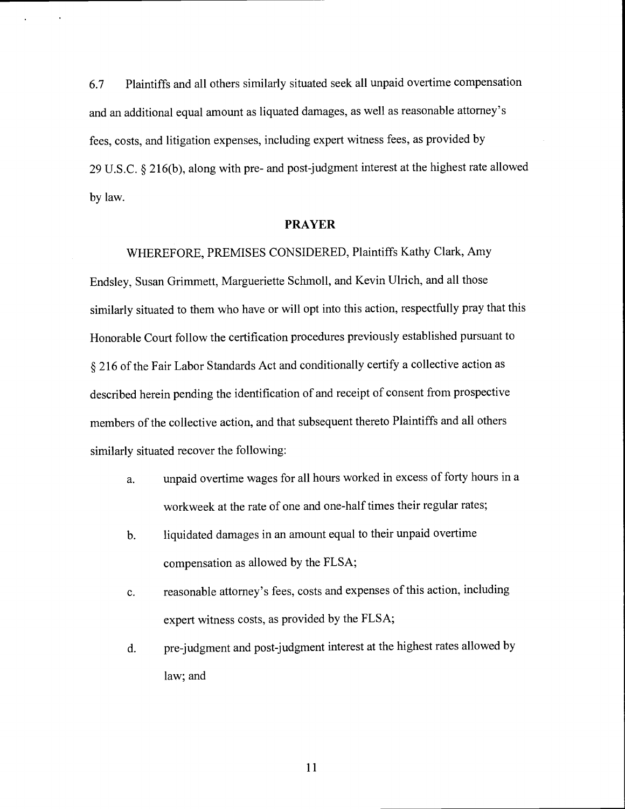6.7 Plaintiffs and all others similarly situated seek all unpaid overtime compensation and an additional equal amount as liquated damages, as well as reasonable attorney's fees, costs, and litigation expenses, including expert witness fees, as provided by 29 U.S.C. § 216(b), along with pre- and post-judgment interest at the highest rate allowed by law.

#### PRAYER

WHEREFORE, PREMISES CONSIDERED, Plaintiffs Kathy Clark, Amy Endsley, Susan Grimmett, Margueriette Schmoll, and Kevin Ulrich, and all those similarly situated to them who have or will opt into this action, respectfully pray that this Honorable Court follow the certification procedures previously established pursuant to § 216 of the Fair Labor Standards Act and conditionally certify a collective action as described herein pending the identification of and receipt of consent from prospective members of the collective action, and that subsequent thereto Plaintiffs and all others similarly situated recover the following:

- a. unpaid overtime wages for all hours worked in excess of forty hours in a workweek at the rate of one and one-half times their regular rates;
- b. liquidated damages in an amount equal to their unpaid overtime compensation as allowed by the FLSA;
- c. reasonable attorney's fees, costs and expenses of this action, including expert witness costs, as provided by the FLSA;
- d. pre-judgment and post-judgment interest at the highest rates allowed by law; and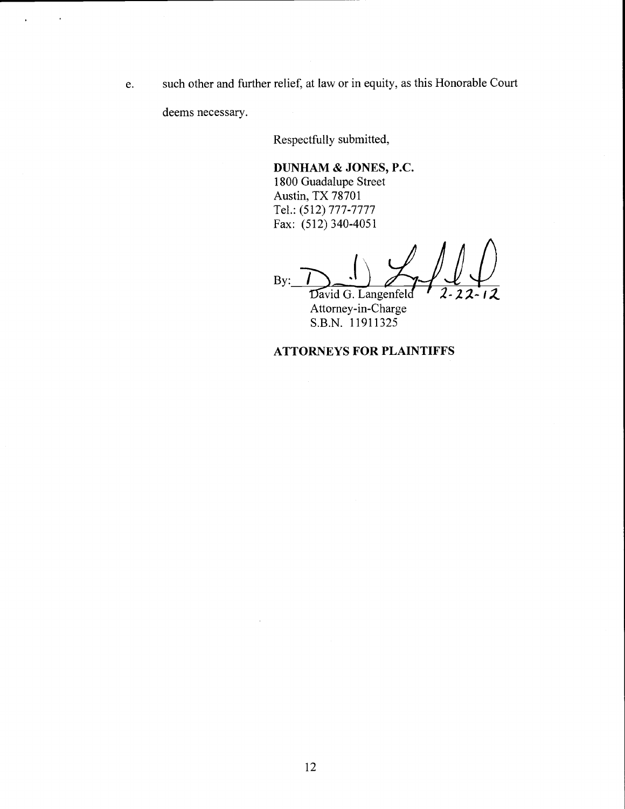e. such other and further relief, at law or in equity, as this Honorable Court

deems necessary.

Respectfully submitted,

DUNHAM & JONES, P.C. 1800 Guadalupe Street Austin, TX 78701 Tel.: (512) 777-7777 Fax: (512) 340-4051

By: David G. Langenfeld

Attorney-in-Charge S.B.N. 11911325

# ATTORNEYS FOR PLAINTIFFS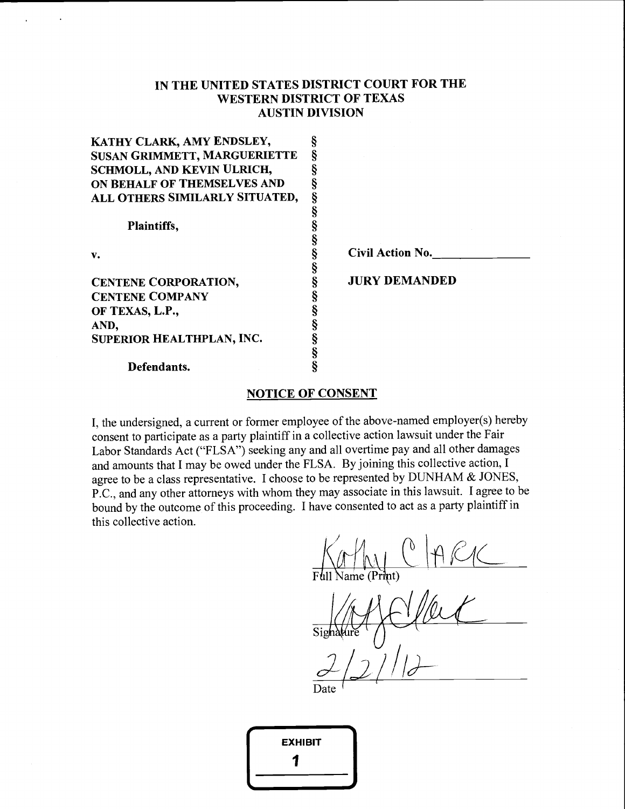# IN THE UNITED STATES DISTRICT COURT FOR THE WESTERN DISTRICT OF TEXAS AUSTIN DIVISION

| KATHY CLARK, AMY ENDSLEY,           | ş |                      |
|-------------------------------------|---|----------------------|
| <b>SUSAN GRIMMETT, MARGUERIETTE</b> |   |                      |
| SCHMOLL, AND KEVIN ULRICH,          |   |                      |
| ON BEHALF OF THEMSELVES AND         |   |                      |
| ALL OTHERS SIMILARLY SITUATED,      | ş |                      |
|                                     |   |                      |
| Plaintiffs,                         |   |                      |
|                                     |   |                      |
| v.                                  |   | Civil Action No.     |
|                                     |   |                      |
| CENTENE CORPORATION,                |   | <b>JURY DEMANDED</b> |
| <b>CENTENE COMPANY</b>              |   |                      |
| OF TEXAS, L.P.,                     |   |                      |
| AND,                                |   |                      |
| SUPERIOR HEALTHPLAN, INC.           |   |                      |
|                                     | § |                      |
| Defendants.                         |   |                      |
|                                     |   |                      |

## NOTICE OF CONSENT

I, the undersigned, a current or former employee of the above-named employer(s) hereby consent to participate as a party plaintiff in a collective action lawsuit under the Fair Labor Standards Act ("FLSA") seeking any and all overtime pay and all other damages and amounts that I may be owed under the FLSA. By joining this collective action, <sup>I</sup> agree to be a class representative. I choose to be represented by DUNHAM & JONES, P.C., and any other attorneys with whom they may associate in this lawsuit. 1 agree to be bound by the outcome of this proceeding. I have consented to act as a party plaintiff in this collective action.

 $\bigwedge_{\text{Full Name}}$  (Print)

Date <sup>1</sup>

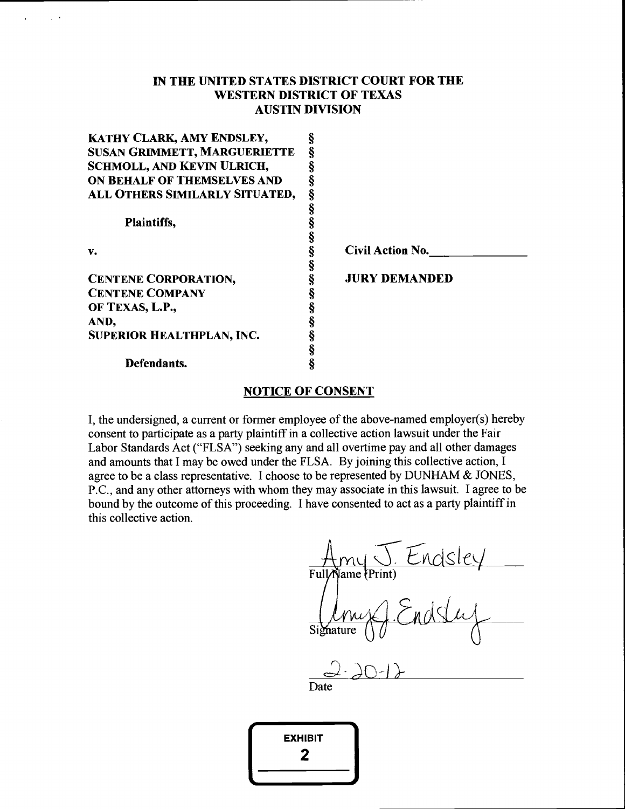# IN THE UNITED STATES DISTRICT COURT FOR THE WESTERN DISTRICT OF TEXAS AUSTIN DIVISION

| KATHY CLARK, AMY ENDSLEY,           | ş |                         |  |
|-------------------------------------|---|-------------------------|--|
| <b>SUSAN GRIMMETT, MARGUERIETTE</b> |   |                         |  |
| <b>SCHMOLL, AND KEVIN ULRICH,</b>   |   |                         |  |
| ON BEHALF OF THEMSELVES AND         | ş |                         |  |
| ALL OTHERS SIMILARLY SITUATED,      | ş |                         |  |
|                                     | § |                         |  |
| <b>Plaintiffs,</b>                  |   |                         |  |
|                                     |   |                         |  |
| v.                                  | ş | <b>Civil Action No.</b> |  |
|                                     |   |                         |  |
| <b>CENTENE CORPORATION,</b>         |   | <b>JURY DEMANDED</b>    |  |
| <b>CENTENE COMPANY</b>              |   |                         |  |
| OF TEXAS, L.P.,                     |   |                         |  |
| AND,                                |   |                         |  |
| <b>SUPERIOR HEALTHPLAN, INC.</b>    |   |                         |  |
|                                     | Ş |                         |  |
| Defendants.                         | Ş |                         |  |
|                                     |   |                         |  |

## NOTICE OF CONSENT

I, the undersigned, a current or former employee of the above-named employer(s) hereby consent to participate as a party plaintiff in a collective action lawsuit under the Fair Labor Standards Act ("FLSA") seeking any and all overtime pay and all other damages and amounts that I may be owed under the FLSA. By joining this collective action, I agree to be a class representative. I choose to be represented by DUNHAM & JONES, P.C., and any other attorneys with whom they may associate in this lawsuit. I agree to be bound by the outcome of this proceeding. I have consented to act as a party plaintiff in this collective action.

Amy Endsley<br>FullMame (Print)<br>Any Endslug

Date

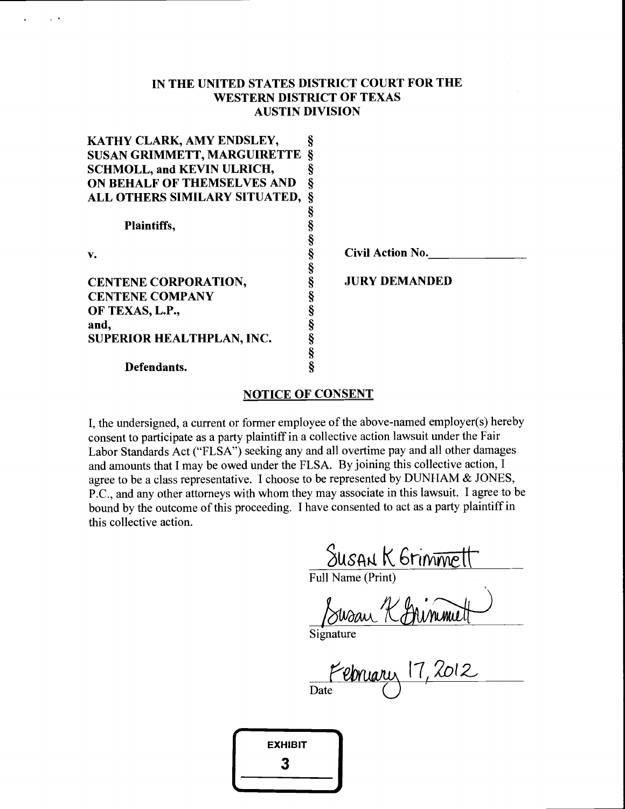# IN THE UNITED STATES DISTRICT COURT FOR THE WESTERN DISTRICT OF TEXAS AUSTIN DIVISION

| KATHY CLARK, AMY ENDSLEY,              |   |                         |  |
|----------------------------------------|---|-------------------------|--|
| <b>SUSAN GRIMMETT, MARGUIRETTE §</b>   |   |                         |  |
| <b>SCHMOLL, and KEVIN ULRICH,</b>      |   |                         |  |
| ON BEHALF OF THEMSELVES AND            | ş |                         |  |
| <b>ALL OTHERS SIMILARY SITUATED, §</b> |   |                         |  |
|                                        | ş |                         |  |
| Plaintiffs,                            |   |                         |  |
|                                        |   |                         |  |
| v.                                     | ş | <b>Civil Action No.</b> |  |
|                                        |   |                         |  |
| <b>CENTENE CORPORATION,</b>            |   | <b>JURY DEMANDED</b>    |  |
| <b>CENTENE COMPANY</b>                 |   |                         |  |
| OF TEXAS, L.P.,                        |   |                         |  |
| and,                                   |   |                         |  |
| <b>SUPERIOR HEALTHPLAN, INC.</b>       |   |                         |  |
|                                        | ş |                         |  |
| Defendants.                            |   |                         |  |
|                                        |   |                         |  |

## NOTICE OF CONSENT

I, the undersigned, a current or former employee of the above-named employer(s) hereby consent to participate as a party plaintiff in a collective action lawsuit under the Fair Labor Standards Act ("FLSA") seeking any and all overtime pay and all other damages and amounts that I may be owed under the FLSA. By joining this collective action, I agree to be a class representative. I choose to be represented by DUNHAM & JONES, P.C., and any other attorneys with whom they may associate in this lawsuit. I agree to be bound by the outcome of this proceeding. I have consented to act as a party plaintiff in this collective action.

Susan K Grinmett

Full Name (Print)

Chimmett Swaan 'i

**Signature** 

**Date**  $e_{b}$   $a_{u}$   $17$ ,  $2012$ 

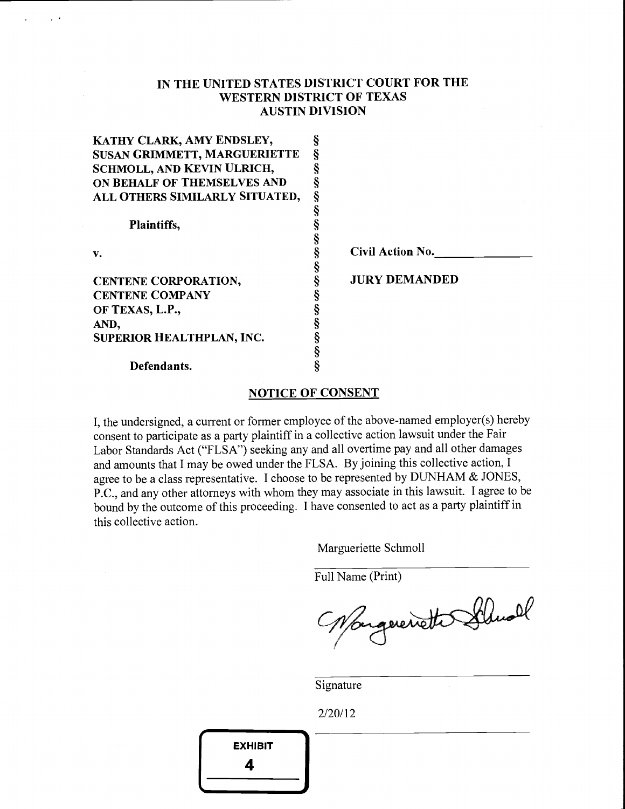# IN THE UNITED STATES DISTRICT COURT FOR THE WESTERN DISTRICT OF TEXAS AUSTIN DIVISION

| <b>Civil Action No.</b> |
|-------------------------|
|                         |
| <b>JURY DEMANDED</b>    |
|                         |
|                         |
|                         |
|                         |
|                         |
|                         |
|                         |

## NOTICE OF CONSENT

I, the undersigned, a current or former employee of the above-named employer(s) hereby consent to participate as a party plaintiff in a collective action lawsuit under the Fair Labor Standards Act ("FLSA") seeking any and all overtime pay and all other damages and amounts that I may be owed under the FLSA. By joining this collective action, <sup>I</sup> agree to be a class representative. I choose to be represented by DUNHAM & JONES, P.C., and any other attorneys with whom they may associate in this lawsuit. I agree to be bound by the outcome of this proceeding. I have consented to act as a party plaintiff in this collective action.

Margueriette Schmoll

Full Name (Print)

Nongereriette Schwal

Signature

2/20/12